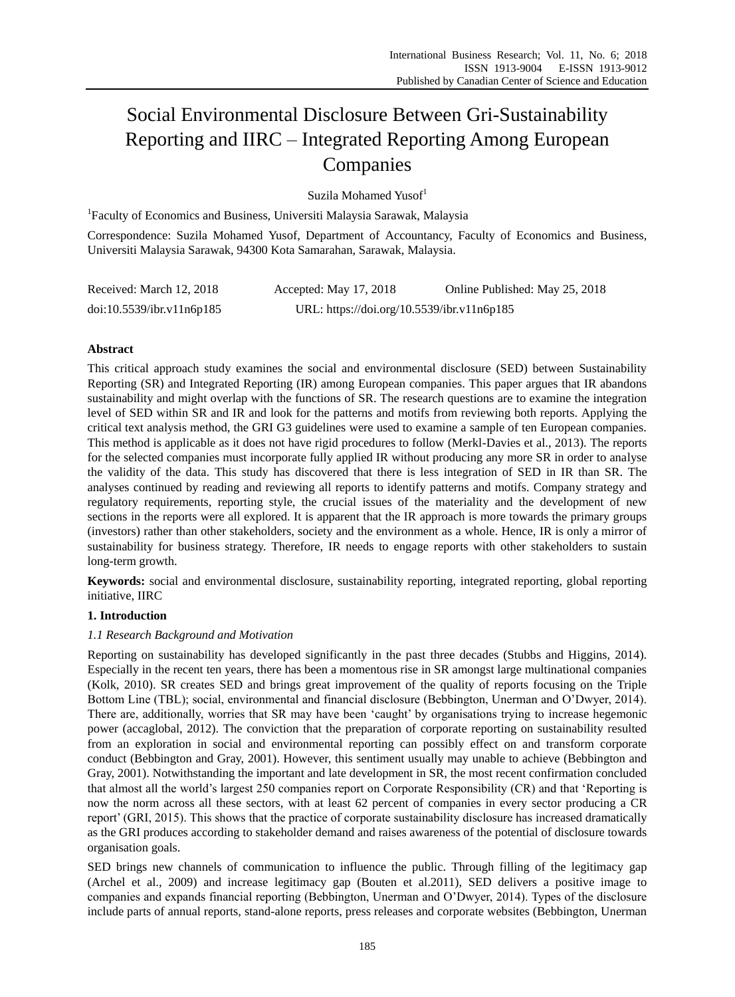# Social Environmental Disclosure Between Gri-Sustainability Reporting and IIRC – Integrated Reporting Among European Companies

Suzila Mohamed Yusof<sup>1</sup>

<sup>1</sup>Faculty of Economics and Business, Universiti Malaysia Sarawak, Malaysia

Correspondence: Suzila Mohamed Yusof, Department of Accountancy, Faculty of Economics and Business, Universiti Malaysia Sarawak, 94300 Kota Samarahan, Sarawak, Malaysia.

| Received: March 12, 2018  | Accepted: May 17, 2018                     | Online Published: May 25, 2018 |
|---------------------------|--------------------------------------------|--------------------------------|
| doi:10.5539/ibr.v11n6p185 | URL: https://doi.org/10.5539/ibr.v11n6p185 |                                |

# **Abstract**

This critical approach study examines the social and environmental disclosure (SED) between Sustainability Reporting (SR) and Integrated Reporting (IR) among European companies. This paper argues that IR abandons sustainability and might overlap with the functions of SR. The research questions are to examine the integration level of SED within SR and IR and look for the patterns and motifs from reviewing both reports. Applying the critical text analysis method, the GRI G3 guidelines were used to examine a sample of ten European companies. This method is applicable as it does not have rigid procedures to follow (Merkl-Davies et al., 2013). The reports for the selected companies must incorporate fully applied IR without producing any more SR in order to analyse the validity of the data. This study has discovered that there is less integration of SED in IR than SR. The analyses continued by reading and reviewing all reports to identify patterns and motifs. Company strategy and regulatory requirements, reporting style, the crucial issues of the materiality and the development of new sections in the reports were all explored. It is apparent that the IR approach is more towards the primary groups (investors) rather than other stakeholders, society and the environment as a whole. Hence, IR is only a mirror of sustainability for business strategy. Therefore, IR needs to engage reports with other stakeholders to sustain long-term growth.

**Keywords:** social and environmental disclosure, sustainability reporting, integrated reporting, global reporting initiative, IIRC

# **1. Introduction**

# *1.1 Research Background and Motivation*

Reporting on sustainability has developed significantly in the past three decades (Stubbs and Higgins, 2014). Especially in the recent ten years, there has been a momentous rise in SR amongst large multinational companies (Kolk, 2010). SR creates SED and brings great improvement of the quality of reports focusing on the Triple Bottom Line (TBL); social, environmental and financial disclosure (Bebbington, Unerman and O'Dwyer, 2014). There are, additionally, worries that SR may have been 'caught' by organisations trying to increase hegemonic power (accaglobal, 2012). The conviction that the preparation of corporate reporting on sustainability resulted from an exploration in social and environmental reporting can possibly effect on and transform corporate conduct (Bebbington and Gray, 2001). However, this sentiment usually may unable to achieve (Bebbington and Gray, 2001). Notwithstanding the important and late development in SR, the most recent confirmation concluded that almost all the world's largest 250 companies report on Corporate Responsibility (CR) and that 'Reporting is now the norm across all these sectors, with at least 62 percent of companies in every sector producing a CR report' (GRI, 2015). This shows that the practice of corporate sustainability disclosure has increased dramatically as the GRI produces according to stakeholder demand and raises awareness of the potential of disclosure towards organisation goals.

SED brings new channels of communication to influence the public. Through filling of the legitimacy gap (Archel et al., 2009) and increase legitimacy gap (Bouten et al.2011), SED delivers a positive image to companies and expands financial reporting (Bebbington, Unerman and O'Dwyer, 2014). Types of the disclosure include parts of annual reports, stand-alone reports, press releases and corporate websites (Bebbington, Unerman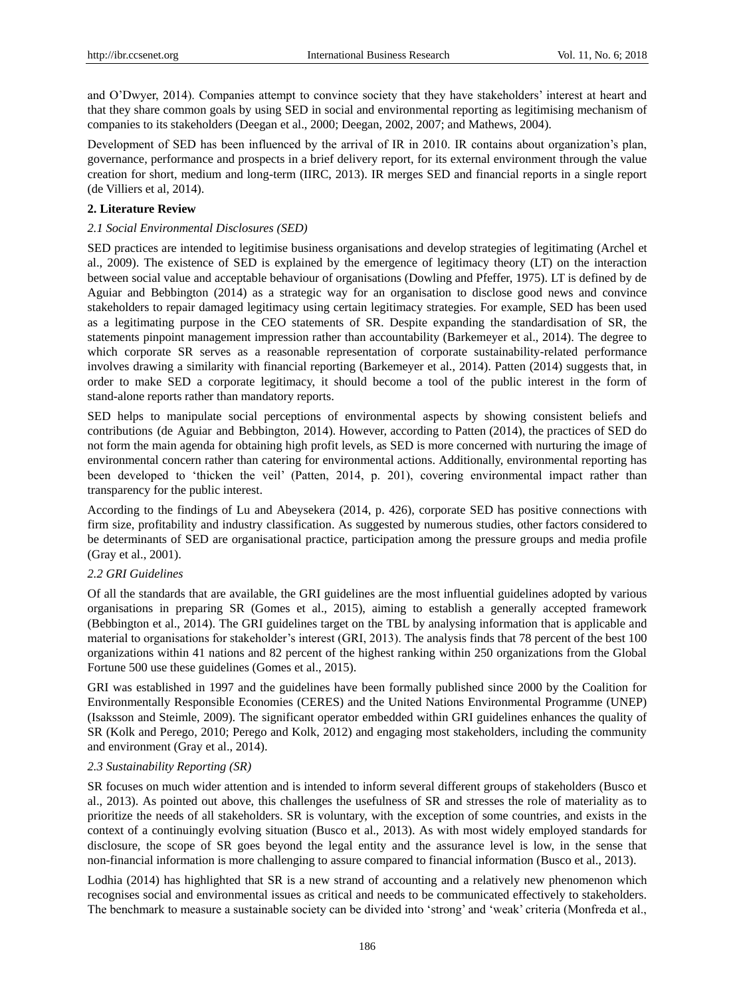and O'Dwyer, 2014). Companies attempt to convince society that they have stakeholders' interest at heart and that they share common goals by using SED in social and environmental reporting as legitimising mechanism of companies to its stakeholders (Deegan et al., 2000; Deegan, 2002, 2007; and Mathews, 2004).

Development of SED has been influenced by the arrival of IR in 2010. IR contains about organization's plan, governance, performance and prospects in a brief delivery report, for its external environment through the value creation for short, medium and long-term (IIRC, 2013). IR merges SED and financial reports in a single report (de Villiers et al, 2014).

## **2. Literature Review**

## *2.1 Social Environmental Disclosures (SED)*

SED practices are intended to legitimise business organisations and develop strategies of legitimating (Archel et al., 2009). The existence of SED is explained by the emergence of legitimacy theory (LT) on the interaction between social value and acceptable behaviour of organisations (Dowling and Pfeffer, 1975). LT is defined by de Aguiar and Bebbington (2014) as a strategic way for an organisation to disclose good news and convince stakeholders to repair damaged legitimacy using certain legitimacy strategies. For example, SED has been used as a legitimating purpose in the CEO statements of SR. Despite expanding the standardisation of SR, the statements pinpoint management impression rather than accountability (Barkemeyer et al., 2014). The degree to which corporate SR serves as a reasonable representation of corporate sustainability-related performance involves drawing a similarity with financial reporting (Barkemeyer et al., 2014). Patten (2014) suggests that, in order to make SED a corporate legitimacy, it should become a tool of the public interest in the form of stand-alone reports rather than mandatory reports.

SED helps to manipulate social perceptions of environmental aspects by showing consistent beliefs and contributions (de Aguiar and Bebbington, 2014). However, according to Patten (2014), the practices of SED do not form the main agenda for obtaining high profit levels, as SED is more concerned with nurturing the image of environmental concern rather than catering for environmental actions. Additionally, environmental reporting has been developed to 'thicken the veil' (Patten, 2014, p. 201), covering environmental impact rather than transparency for the public interest.

According to the findings of Lu and Abeysekera (2014, p. 426), corporate SED has positive connections with firm size, profitability and industry classification. As suggested by numerous studies, other factors considered to be determinants of SED are organisational practice, participation among the pressure groups and media profile (Gray et al., 2001).

## *2.2 GRI Guidelines*

Of all the standards that are available, the GRI guidelines are the most influential guidelines adopted by various organisations in preparing SR (Gomes et al., 2015), aiming to establish a generally accepted framework (Bebbington et al., 2014). The GRI guidelines target on the TBL by analysing information that is applicable and material to organisations for stakeholder's interest (GRI, 2013). The analysis finds that 78 percent of the best 100 organizations within 41 nations and 82 percent of the highest ranking within 250 organizations from the Global Fortune 500 use these guidelines (Gomes et al., 2015).

GRI was established in 1997 and the guidelines have been formally published since 2000 by the Coalition for Environmentally Responsible Economies (CERES) and the United Nations Environmental Programme (UNEP) (Isaksson and Steimle, 2009). The significant operator embedded within GRI guidelines enhances the quality of SR (Kolk and Perego, 2010; Perego and Kolk, 2012) and engaging most stakeholders, including the community and environment (Gray et al., 2014).

## *2.3 Sustainability Reporting (SR)*

SR focuses on much wider attention and is intended to inform several different groups of stakeholders (Busco et al., 2013). As pointed out above, this challenges the usefulness of SR and stresses the role of materiality as to prioritize the needs of all stakeholders. SR is voluntary, with the exception of some countries, and exists in the context of a continuingly evolving situation (Busco et al., 2013). As with most widely employed standards for disclosure, the scope of SR goes beyond the legal entity and the assurance level is low, in the sense that non-financial information is more challenging to assure compared to financial information (Busco et al., 2013).

Lodhia (2014) has highlighted that SR is a new strand of accounting and a relatively new phenomenon which recognises social and environmental issues as critical and needs to be communicated effectively to stakeholders. The benchmark to measure a sustainable society can be divided into 'strong' and 'weak' criteria (Monfreda et al.,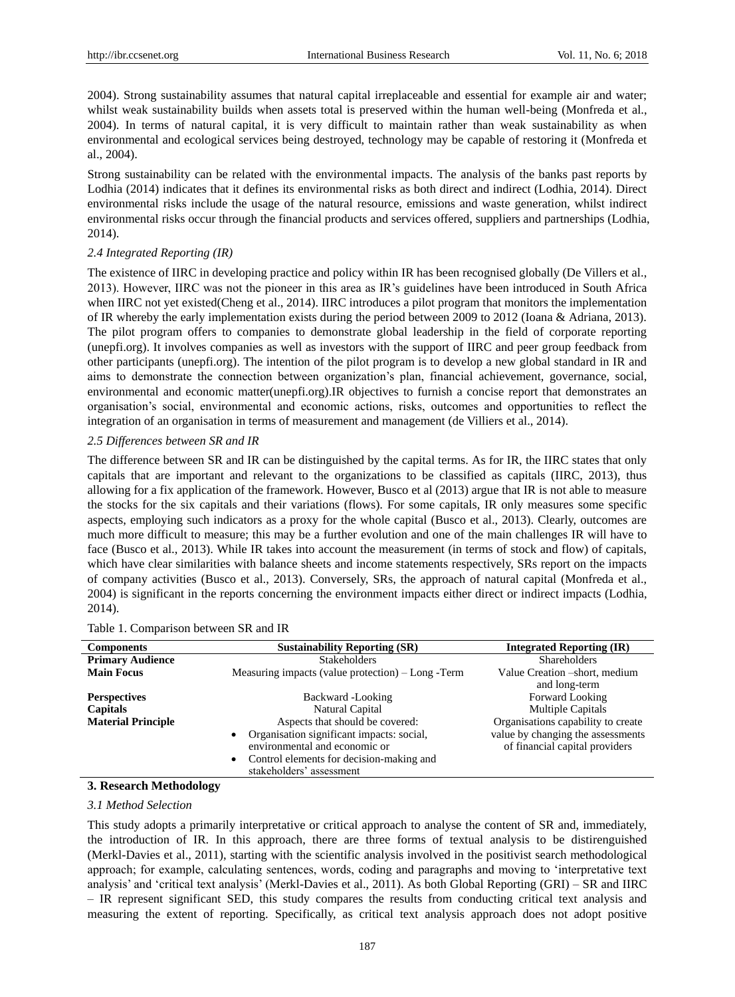2004). Strong sustainability assumes that natural capital irreplaceable and essential for example air and water; whilst weak sustainability builds when assets total is preserved within the human well-being (Monfreda et al., 2004). In terms of natural capital, it is very difficult to maintain rather than weak sustainability as when environmental and ecological services being destroyed, technology may be capable of restoring it (Monfreda et al., 2004).

Strong sustainability can be related with the environmental impacts. The analysis of the banks past reports by Lodhia (2014) indicates that it defines its environmental risks as both direct and indirect (Lodhia, 2014). Direct environmental risks include the usage of the natural resource, emissions and waste generation, whilst indirect environmental risks occur through the financial products and services offered, suppliers and partnerships (Lodhia, 2014).

## *2.4 Integrated Reporting (IR)*

The existence of IIRC in developing practice and policy within IR has been recognised globally (De Villers et al., 2013). However, IIRC was not the pioneer in this area as IR's guidelines have been introduced in South Africa when IIRC not yet existed(Cheng et al., 2014). IIRC introduces a pilot program that monitors the implementation of IR whereby the early implementation exists during the period between 2009 to 2012 (Ioana & Adriana, 2013). The pilot program offers to companies to demonstrate global leadership in the field of corporate reporting (unepfi.org). It involves companies as well as investors with the support of IIRC and peer group feedback from other participants (unepfi.org). The intention of the pilot program is to develop a new global standard in IR and aims to demonstrate the connection between organization's plan, financial achievement, governance, social, environmental and economic matter(unepfi.org).IR objectives to furnish a concise report that demonstrates an organisation's social, environmental and economic actions, risks, outcomes and opportunities to reflect the integration of an organisation in terms of measurement and management (de Villiers et al., 2014).

## *2.5 Differences between SR and IR*

The difference between SR and IR can be distinguished by the capital terms. As for IR, the IIRC states that only capitals that are important and relevant to the organizations to be classified as capitals (IIRC, 2013), thus allowing for a fix application of the framework. However, Busco et al (2013) argue that IR is not able to measure the stocks for the six capitals and their variations (flows). For some capitals, IR only measures some specific aspects, employing such indicators as a proxy for the whole capital (Busco et al., 2013). Clearly, outcomes are much more difficult to measure; this may be a further evolution and one of the main challenges IR will have to face (Busco et al., 2013). While IR takes into account the measurement (in terms of stock and flow) of capitals, which have clear similarities with balance sheets and income statements respectively, SRs report on the impacts of company activities (Busco et al., 2013). Conversely, SRs, the approach of natural capital (Monfreda et al., 2004) is significant in the reports concerning the environment impacts either direct or indirect impacts (Lodhia, 2014).

| <b>Components</b>         | <b>Sustainability Reporting (SR)</b>                                                                                                                            | <b>Integrated Reporting (IR)</b>                                    |
|---------------------------|-----------------------------------------------------------------------------------------------------------------------------------------------------------------|---------------------------------------------------------------------|
| <b>Primary Audience</b>   | <b>Stakeholders</b>                                                                                                                                             | <b>Shareholders</b>                                                 |
| <b>Main Focus</b>         | Measuring impacts (value protection) – Long - Term                                                                                                              | Value Creation -short, medium                                       |
|                           |                                                                                                                                                                 | and long-term                                                       |
| <b>Perspectives</b>       | Backward -Looking                                                                                                                                               | Forward Looking                                                     |
| Capitals                  | Natural Capital                                                                                                                                                 | <b>Multiple Capitals</b>                                            |
| <b>Material Principle</b> | Aspects that should be covered:                                                                                                                                 | Organisations capability to create                                  |
|                           | Organisation significant impacts: social,<br>environmental and economic or<br>Control elements for decision-making and<br>$\bullet$<br>stakeholders' assessment | value by changing the assessments<br>of financial capital providers |

#### Table 1. Comparison between SR and IR

## **3. Research Methodology**

## *3.1 Method Selection*

This study adopts a primarily interpretative or critical approach to analyse the content of SR and, immediately, the introduction of IR. In this approach, there are three forms of textual analysis to be distirenguished (Merkl-Davies et al., 2011), starting with the scientific analysis involved in the positivist search methodological approach; for example, calculating sentences, words, coding and paragraphs and moving to 'interpretative text analysis' and 'critical text analysis' (Merkl-Davies et al., 2011). As both Global Reporting (GRI) – SR and IIRC – IR represent significant SED, this study compares the results from conducting critical text analysis and measuring the extent of reporting. Specifically, as critical text analysis approach does not adopt positive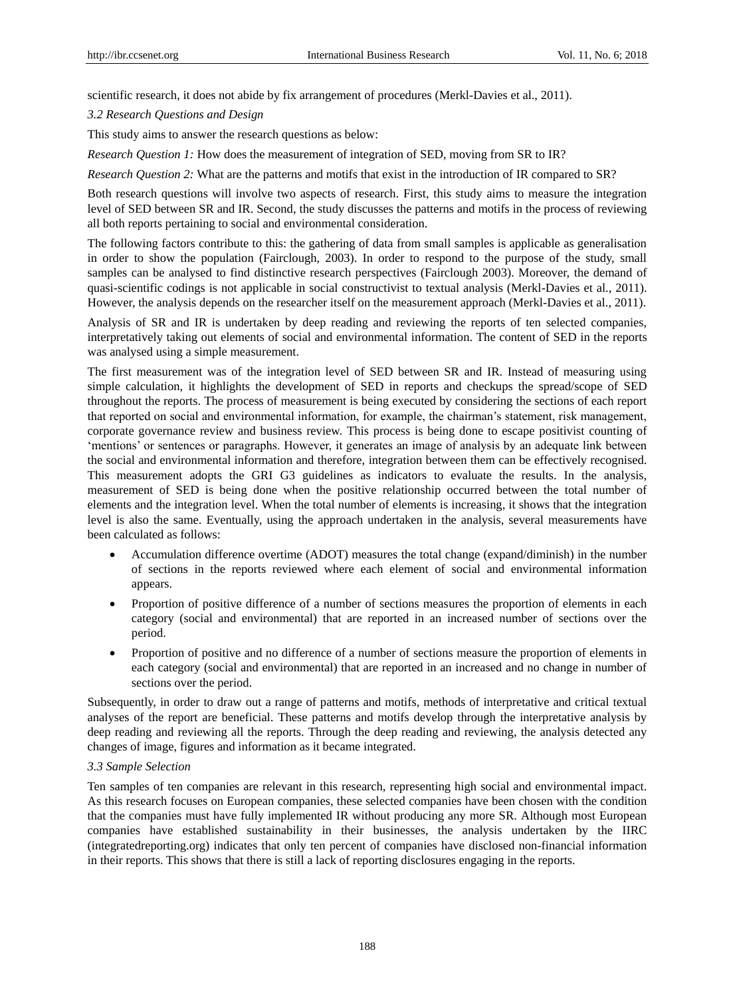scientific research, it does not abide by fix arrangement of procedures (Merkl-Davies et al., 2011).

*3.2 Research Questions and Design* 

This study aims to answer the research questions as below:

*Research Question 1:* How does the measurement of integration of SED, moving from SR to IR?

*Research Question 2:* What are the patterns and motifs that exist in the introduction of IR compared to SR?

Both research questions will involve two aspects of research. First, this study aims to measure the integration level of SED between SR and IR. Second, the study discusses the patterns and motifs in the process of reviewing all both reports pertaining to social and environmental consideration.

The following factors contribute to this: the gathering of data from small samples is applicable as generalisation in order to show the population (Fairclough, 2003). In order to respond to the purpose of the study, small samples can be analysed to find distinctive research perspectives (Fairclough 2003). Moreover, the demand of quasi-scientific codings is not applicable in social constructivist to textual analysis (Merkl-Davies et al., 2011). However, the analysis depends on the researcher itself on the measurement approach (Merkl-Davies et al., 2011).

Analysis of SR and IR is undertaken by deep reading and reviewing the reports of ten selected companies, interpretatively taking out elements of social and environmental information. The content of SED in the reports was analysed using a simple measurement.

The first measurement was of the integration level of SED between SR and IR. Instead of measuring using simple calculation, it highlights the development of SED in reports and checkups the spread/scope of SED throughout the reports. The process of measurement is being executed by considering the sections of each report that reported on social and environmental information, for example, the chairman's statement, risk management, corporate governance review and business review. This process is being done to escape positivist counting of 'mentions' or sentences or paragraphs. However, it generates an image of analysis by an adequate link between the social and environmental information and therefore, integration between them can be effectively recognised. This measurement adopts the GRI G3 guidelines as indicators to evaluate the results. In the analysis, measurement of SED is being done when the positive relationship occurred between the total number of elements and the integration level. When the total number of elements is increasing, it shows that the integration level is also the same. Eventually, using the approach undertaken in the analysis, several measurements have been calculated as follows:

- Accumulation difference overtime (ADOT) measures the total change (expand/diminish) in the number of sections in the reports reviewed where each element of social and environmental information appears.
- Proportion of positive difference of a number of sections measures the proportion of elements in each category (social and environmental) that are reported in an increased number of sections over the period.
- Proportion of positive and no difference of a number of sections measure the proportion of elements in each category (social and environmental) that are reported in an increased and no change in number of sections over the period.

Subsequently, in order to draw out a range of patterns and motifs, methods of interpretative and critical textual analyses of the report are beneficial. These patterns and motifs develop through the interpretative analysis by deep reading and reviewing all the reports. Through the deep reading and reviewing, the analysis detected any changes of image, figures and information as it became integrated.

## *3.3 Sample Selection*

Ten samples of ten companies are relevant in this research, representing high social and environmental impact. As this research focuses on European companies, these selected companies have been chosen with the condition that the companies must have fully implemented IR without producing any more SR. Although most European companies have established sustainability in their businesses, the analysis undertaken by the IIRC (integratedreporting.org) indicates that only ten percent of companies have disclosed non-financial information in their reports. This shows that there is still a lack of reporting disclosures engaging in the reports.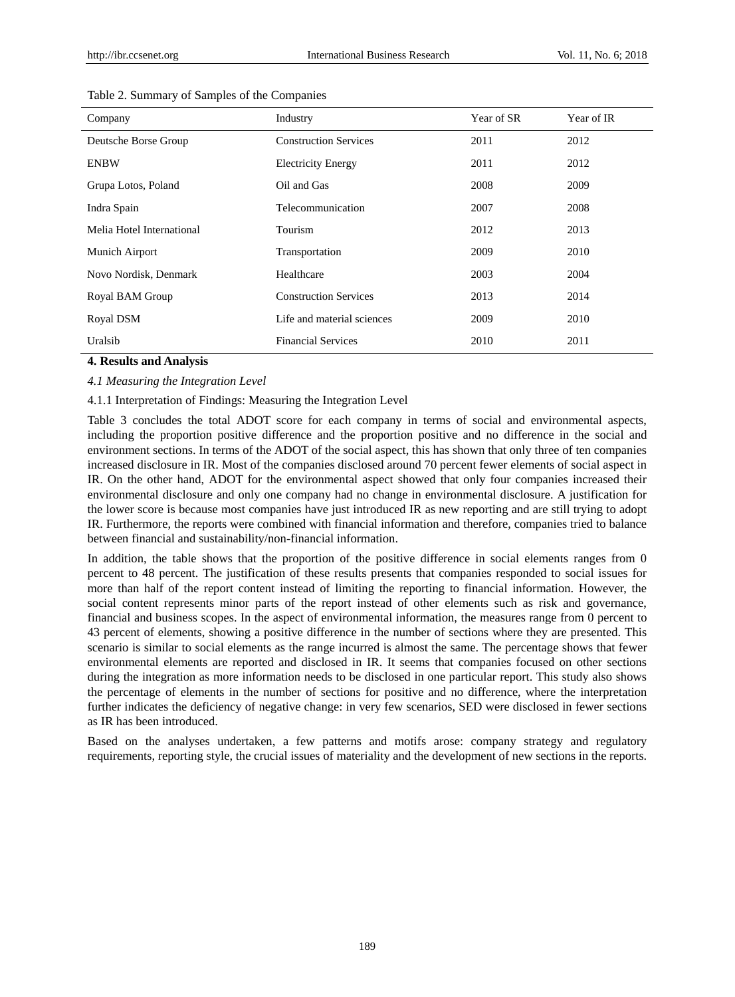| Company                   | Industry                     | Year of SR | Year of IR |
|---------------------------|------------------------------|------------|------------|
| Deutsche Borse Group      | <b>Construction Services</b> | 2011       | 2012       |
| <b>ENBW</b>               | <b>Electricity Energy</b>    | 2011       | 2012       |
| Grupa Lotos, Poland       | Oil and Gas                  | 2008       | 2009       |
| Indra Spain               | Telecommunication            | 2007       | 2008       |
| Melia Hotel International | Tourism                      | 2012       | 2013       |
| Munich Airport            | Transportation               | 2009       | 2010       |
| Novo Nordisk, Denmark     | Healthcare                   | 2003       | 2004       |
| Royal BAM Group           | <b>Construction Services</b> | 2013       | 2014       |
| Royal DSM                 | Life and material sciences   | 2009       | 2010       |
| Uralsib                   | <b>Financial Services</b>    | 2010       | 2011       |

#### Table 2. Summary of Samples of the Companies

## **4. Results and Analysis**

## *4.1 Measuring the Integration Level*

## 4.1.1 Interpretation of Findings: Measuring the Integration Level

Table 3 concludes the total ADOT score for each company in terms of social and environmental aspects, including the proportion positive difference and the proportion positive and no difference in the social and environment sections. In terms of the ADOT of the social aspect, this has shown that only three of ten companies increased disclosure in IR. Most of the companies disclosed around 70 percent fewer elements of social aspect in IR. On the other hand, ADOT for the environmental aspect showed that only four companies increased their environmental disclosure and only one company had no change in environmental disclosure. A justification for the lower score is because most companies have just introduced IR as new reporting and are still trying to adopt IR. Furthermore, the reports were combined with financial information and therefore, companies tried to balance between financial and sustainability/non-financial information.

In addition, the table shows that the proportion of the positive difference in social elements ranges from 0 percent to 48 percent. The justification of these results presents that companies responded to social issues for more than half of the report content instead of limiting the reporting to financial information. However, the social content represents minor parts of the report instead of other elements such as risk and governance, financial and business scopes. In the aspect of environmental information, the measures range from 0 percent to 43 percent of elements, showing a positive difference in the number of sections where they are presented. This scenario is similar to social elements as the range incurred is almost the same. The percentage shows that fewer environmental elements are reported and disclosed in IR. It seems that companies focused on other sections during the integration as more information needs to be disclosed in one particular report. This study also shows the percentage of elements in the number of sections for positive and no difference, where the interpretation further indicates the deficiency of negative change: in very few scenarios, SED were disclosed in fewer sections as IR has been introduced.

Based on the analyses undertaken, a few patterns and motifs arose: company strategy and regulatory requirements, reporting style, the crucial issues of materiality and the development of new sections in the reports.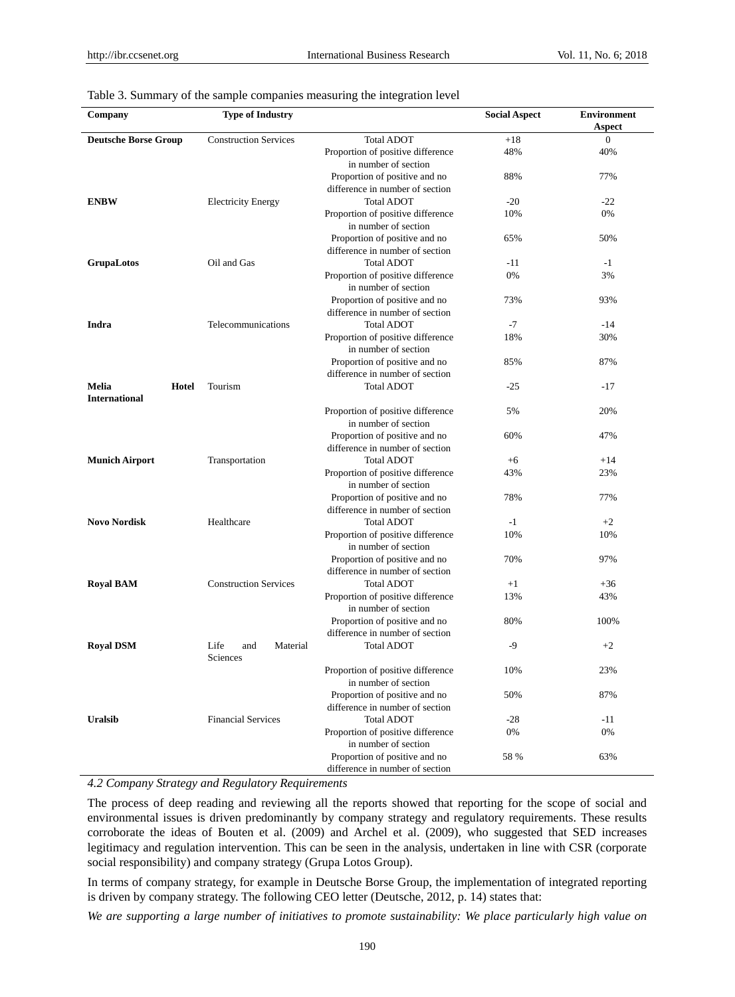| Company                                | <b>Type of Industry</b>             |                                                                  | <b>Social Aspect</b> | <b>Environment</b> |
|----------------------------------------|-------------------------------------|------------------------------------------------------------------|----------------------|--------------------|
|                                        |                                     |                                                                  |                      | Aspect             |
| <b>Deutsche Borse Group</b>            | <b>Construction Services</b>        | <b>Total ADOT</b>                                                | $+18$                | $\overline{0}$     |
|                                        |                                     | Proportion of positive difference<br>in number of section        | 48%                  | 40%                |
|                                        |                                     | Proportion of positive and no<br>difference in number of section | 88%                  | 77%                |
| <b>ENBW</b>                            | <b>Electricity Energy</b>           | <b>Total ADOT</b>                                                | $-20$                | $-22$              |
|                                        |                                     | Proportion of positive difference<br>in number of section        | 10%                  | 0%                 |
|                                        |                                     | Proportion of positive and no<br>difference in number of section | 65%                  | 50%                |
| <b>GrupaLotos</b>                      | Oil and Gas                         | <b>Total ADOT</b>                                                | -11                  | $-1$               |
|                                        |                                     | Proportion of positive difference<br>in number of section        | 0%                   | 3%                 |
|                                        |                                     | Proportion of positive and no<br>difference in number of section | 73%                  | 93%                |
| Indra                                  | Telecommunications                  | <b>Total ADOT</b>                                                | -7                   | $-14$              |
|                                        |                                     | Proportion of positive difference<br>in number of section        | 18%                  | 30%                |
|                                        |                                     | Proportion of positive and no<br>difference in number of section | 85%                  | 87%                |
| Melia<br>Hotel<br><b>International</b> | Tourism                             | <b>Total ADOT</b>                                                | $-25$                | $-17$              |
|                                        |                                     | Proportion of positive difference<br>in number of section        | 5%                   | 20%                |
|                                        |                                     | Proportion of positive and no<br>difference in number of section | 60%                  | 47%                |
| Munich Airport                         | Transportation                      | <b>Total ADOT</b>                                                | $+6$                 | $+14$              |
|                                        |                                     | Proportion of positive difference<br>in number of section        | 43%                  | 23%                |
|                                        |                                     | Proportion of positive and no<br>difference in number of section | 78%                  | 77%                |
| <b>Novo Nordisk</b>                    | Healthcare                          | <b>Total ADOT</b>                                                | $-1$                 | $+2$               |
|                                        |                                     | Proportion of positive difference<br>in number of section        | 10%                  | 10%                |
|                                        |                                     | Proportion of positive and no<br>difference in number of section | 70%                  | 97%                |
| <b>Royal BAM</b>                       | <b>Construction Services</b>        | <b>Total ADOT</b>                                                | $+1$                 | $+36$              |
|                                        |                                     | Proportion of positive difference<br>in number of section        | 13%                  | 43%                |
|                                        |                                     | Proportion of positive and no<br>difference in number of section | 80%                  | 100%               |
| <b>Royal DSM</b>                       | Life<br>Material<br>and<br>Sciences | <b>Total ADOT</b>                                                | $-9$                 | $+2$               |
|                                        |                                     | Proportion of positive difference<br>in number of section        | 10%                  | 23%                |
|                                        |                                     | Proportion of positive and no<br>difference in number of section | 50%                  | 87%                |
| <b>Uralsib</b>                         | <b>Financial Services</b>           | <b>Total ADOT</b>                                                | $-28$                | $-11$              |
|                                        |                                     | Proportion of positive difference<br>in number of section        | 0%                   | 0%                 |
|                                        |                                     | Proportion of positive and no<br>difference in number of section | 58 %                 | 63%                |

#### Table 3. Summary of the sample companies measuring the integration level

*4.2 Company Strategy and Regulatory Requirements* 

The process of deep reading and reviewing all the reports showed that reporting for the scope of social and environmental issues is driven predominantly by company strategy and regulatory requirements. These results corroborate the ideas of Bouten et al. (2009) and Archel et al. (2009), who suggested that SED increases legitimacy and regulation intervention. This can be seen in the analysis, undertaken in line with CSR (corporate social responsibility) and company strategy (Grupa Lotos Group).

In terms of company strategy, for example in Deutsche Borse Group, the implementation of integrated reporting is driven by company strategy. The following CEO letter (Deutsche, 2012, p. 14) states that:

*We are supporting a large number of initiatives to promote sustainability: We place particularly high value on*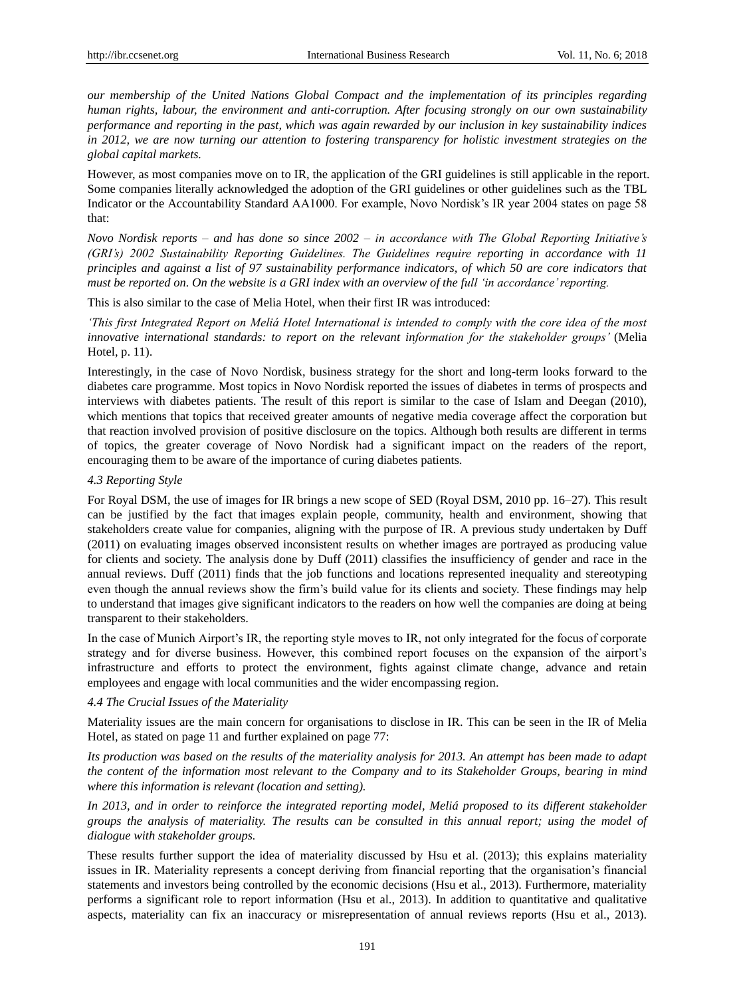*our membership of the United Nations Global Compact and the implementation of its principles regarding human rights, labour, the environment and anti-corruption. After focusing strongly on our own sustainability performance and reporting in the past, which was again rewarded by our inclusion in key sustainability indices in 2012, we are now turning our attention to fostering transparency for holistic investment strategies on the global capital markets.* 

However, as most companies move on to IR, the application of the GRI guidelines is still applicable in the report. Some companies literally acknowledged the adoption of the GRI guidelines or other guidelines such as the TBL Indicator or the Accountability Standard AA1000. For example, Novo Nordisk's IR year 2004 states on page 58 that:

*Novo Nordisk reports – and has done so since 2002 – in accordance with The Global Reporting Initiative's (GRI's) 2002 Sustainability Reporting Guidelines. The Guidelines require reporting in accordance with 11 principles and against a list of 97 sustainability performance indicators, of which 50 are core indicators that must be reported on. On the website is a GRI index with an overview of the full 'in accordance' reporting.* 

This is also similar to the case of Melia Hotel, when their first IR was introduced:

*'This first Integrated Report on Meliá Hotel International is intended to comply with the core idea of the most innovative international standards: to report on the relevant information for the stakeholder groups'* (Melia Hotel, p. 11).

Interestingly, in the case of Novo Nordisk, business strategy for the short and long-term looks forward to the diabetes care programme. Most topics in Novo Nordisk reported the issues of diabetes in terms of prospects and interviews with diabetes patients. The result of this report is similar to the case of Islam and Deegan (2010), which mentions that topics that received greater amounts of negative media coverage affect the corporation but that reaction involved provision of positive disclosure on the topics. Although both results are different in terms of topics, the greater coverage of Novo Nordisk had a significant impact on the readers of the report, encouraging them to be aware of the importance of curing diabetes patients.

## *4.3 Reporting Style*

For Royal DSM, the use of images for IR brings a new scope of SED (Royal DSM, 2010 pp. 16–27). This result can be justified by the fact that images explain people, community, health and environment, showing that stakeholders create value for companies, aligning with the purpose of IR. A previous study undertaken by Duff (2011) on evaluating images observed inconsistent results on whether images are portrayed as producing value for clients and society. The analysis done by Duff (2011) classifies the insufficiency of gender and race in the annual reviews. Duff (2011) finds that the job functions and locations represented inequality and stereotyping even though the annual reviews show the firm's build value for its clients and society. These findings may help to understand that images give significant indicators to the readers on how well the companies are doing at being transparent to their stakeholders.

In the case of Munich Airport's IR, the reporting style moves to IR, not only integrated for the focus of corporate strategy and for diverse business. However, this combined report focuses on the expansion of the airport's infrastructure and efforts to protect the environment, fights against climate change, advance and retain employees and engage with local communities and the wider encompassing region.

## *4.4 The Crucial Issues of the Materiality*

Materiality issues are the main concern for organisations to disclose in IR. This can be seen in the IR of Melia Hotel, as stated on page 11 and further explained on page 77:

*Its production was based on the results of the materiality analysis for 2013. An attempt has been made to adapt the content of the information most relevant to the Company and to its Stakeholder Groups, bearing in mind where this information is relevant (location and setting).*

*In 2013, and in order to reinforce the integrated reporting model, Meliá proposed to its different stakeholder groups the analysis of materiality. The results can be consulted in this annual report; using the model of dialogue with stakeholder groups.*

These results further support the idea of materiality discussed by Hsu et al. (2013); this explains materiality issues in IR. Materiality represents a concept deriving from financial reporting that the organisation's financial statements and investors being controlled by the economic decisions (Hsu et al., 2013). Furthermore, materiality performs a significant role to report information (Hsu et al., 2013). In addition to quantitative and qualitative aspects, materiality can fix an inaccuracy or misrepresentation of annual reviews reports (Hsu et al., 2013).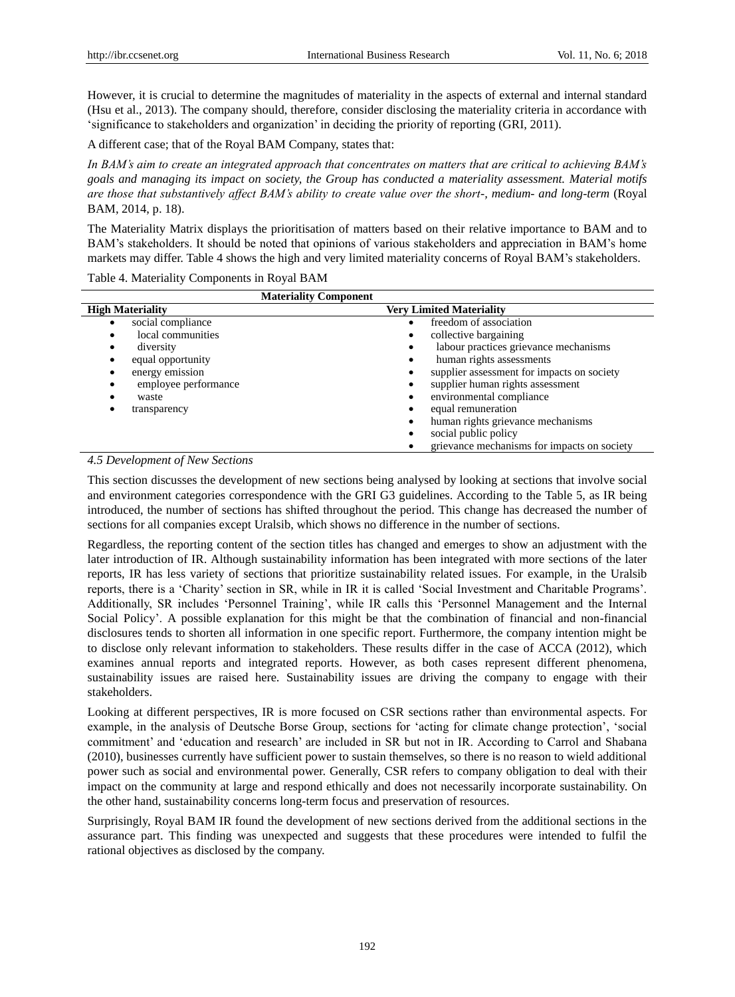However, it is crucial to determine the magnitudes of materiality in the aspects of external and internal standard (Hsu et al., 2013). The company should, therefore, consider disclosing the materiality criteria in accordance with 'significance to stakeholders and organization' in deciding the priority of reporting (GRI, 2011).

A different case; that of the Royal BAM Company, states that:

*In BAM's aim to create an integrated approach that concentrates on matters that are critical to achieving BAM's goals and managing its impact on society, the Group has conducted a materiality assessment. Material motifs are those that substantively affect BAM's ability to create value over the short-, medium- and long-term* (Royal BAM, 2014, p. 18).

The Materiality Matrix displays the prioritisation of matters based on their relative importance to BAM and to BAM's stakeholders. It should be noted that opinions of various stakeholders and appreciation in BAM's home markets may differ. Table 4 shows the high and very limited materiality concerns of Royal BAM's stakeholders.

Table 4. Materiality Components in Royal BAM

| <b>Materiality Component</b> |                                             |
|------------------------------|---------------------------------------------|
| <b>High Materiality</b>      | <b>Very Limited Materiality</b>             |
| social compliance            | freedom of association                      |
| local communities            | collective bargaining                       |
| diversity                    | labour practices grievance mechanisms       |
| equal opportunity            | human rights assessments                    |
| energy emission              | supplier assessment for impacts on society  |
| employee performance         | supplier human rights assessment            |
| waste                        | environmental compliance                    |
| transparency                 | equal remuneration                          |
|                              | human rights grievance mechanisms           |
|                              | social public policy                        |
|                              | grievance mechanisms for impacts on society |

## *4.5 Development of New Sections*

This section discusses the development of new sections being analysed by looking at sections that involve social and environment categories correspondence with the GRI G3 guidelines. According to the Table 5, as IR being introduced, the number of sections has shifted throughout the period. This change has decreased the number of sections for all companies except Uralsib, which shows no difference in the number of sections.

Regardless, the reporting content of the section titles has changed and emerges to show an adjustment with the later introduction of IR. Although sustainability information has been integrated with more sections of the later reports, IR has less variety of sections that prioritize sustainability related issues. For example, in the Uralsib reports, there is a 'Charity' section in SR, while in IR it is called 'Social Investment and Charitable Programs'. Additionally, SR includes 'Personnel Training', while IR calls this 'Personnel Management and the Internal Social Policy'. A possible explanation for this might be that the combination of financial and non-financial disclosures tends to shorten all information in one specific report. Furthermore, the company intention might be to disclose only relevant information to stakeholders. These results differ in the case of ACCA (2012), which examines annual reports and integrated reports. However, as both cases represent different phenomena, sustainability issues are raised here. Sustainability issues are driving the company to engage with their stakeholders.

Looking at different perspectives, IR is more focused on CSR sections rather than environmental aspects. For example, in the analysis of Deutsche Borse Group, sections for 'acting for climate change protection', 'social commitment' and 'education and research' are included in SR but not in IR. According to Carrol and Shabana (2010), businesses currently have sufficient power to sustain themselves, so there is no reason to wield additional power such as social and environmental power. Generally, CSR refers to company obligation to deal with their impact on the community at large and respond ethically and does not necessarily incorporate sustainability. On the other hand, sustainability concerns long-term focus and preservation of resources.

Surprisingly, Royal BAM IR found the development of new sections derived from the additional sections in the assurance part. This finding was unexpected and suggests that these procedures were intended to fulfil the rational objectives as disclosed by the company.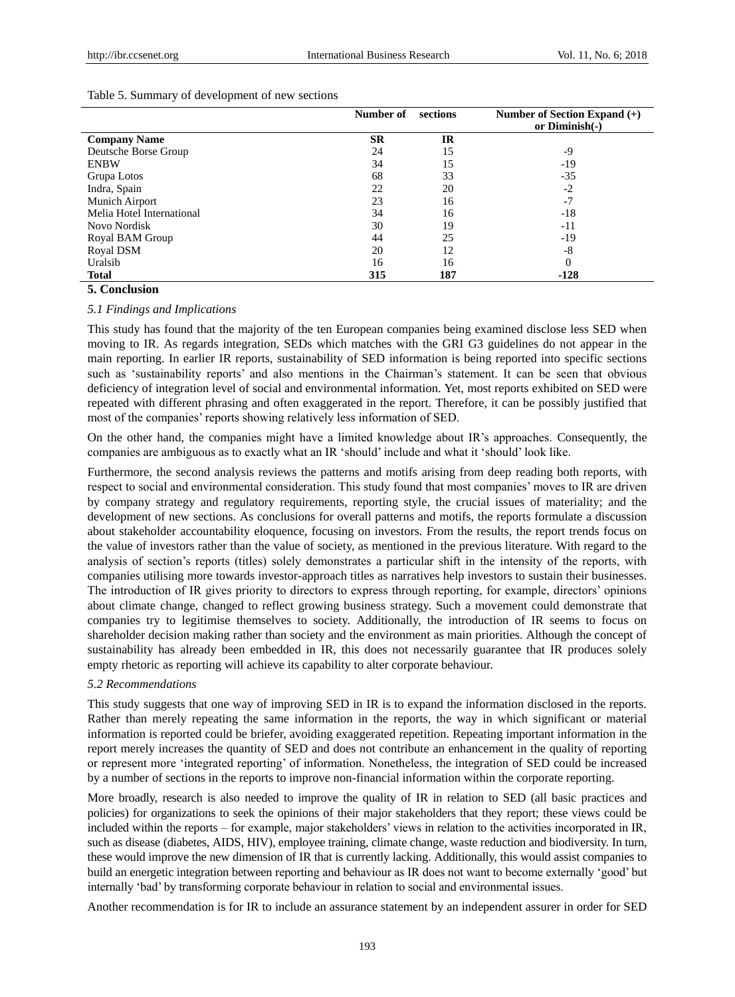|                           | Number of | sections  | Number of Section Expand $(+)$ |
|---------------------------|-----------|-----------|--------------------------------|
|                           |           |           | or Diminish(-)                 |
| <b>Company Name</b>       | <b>SR</b> | <b>IR</b> |                                |
| Deutsche Borse Group      | 24        | 15        | -9                             |
| <b>ENBW</b>               | 34        | 15        | $-19$                          |
| Grupa Lotos               | 68        | 33        | $-35$                          |
| Indra, Spain              | 22        | 20        | $-2$                           |
| Munich Airport            | 23        | 16        | $-7$                           |
| Melia Hotel International | 34        | 16        | -18                            |
| Novo Nordisk              | 30        | 19        | -11                            |
| Royal BAM Group           | 44        | 25        | $-19$                          |
| Royal DSM                 | 20        | 12        | -8                             |
| Uralsib                   | 16        | 16        |                                |
| <b>Total</b>              | 315       | 187       | $-128$                         |

## **5. Conclusion**

#### *5.1 Findings and Implications*

This study has found that the majority of the ten European companies being examined disclose less SED when moving to IR. As regards integration, SEDs which matches with the GRI G3 guidelines do not appear in the main reporting. In earlier IR reports, sustainability of SED information is being reported into specific sections such as 'sustainability reports' and also mentions in the Chairman's statement. It can be seen that obvious deficiency of integration level of social and environmental information. Yet, most reports exhibited on SED were repeated with different phrasing and often exaggerated in the report. Therefore, it can be possibly justified that most of the companies' reports showing relatively less information of SED.

On the other hand, the companies might have a limited knowledge about IR's approaches. Consequently, the companies are ambiguous as to exactly what an IR 'should' include and what it 'should' look like.

Furthermore, the second analysis reviews the patterns and motifs arising from deep reading both reports, with respect to social and environmental consideration. This study found that most companies' moves to IR are driven by company strategy and regulatory requirements, reporting style, the crucial issues of materiality; and the development of new sections. As conclusions for overall patterns and motifs, the reports formulate a discussion about stakeholder accountability eloquence, focusing on investors. From the results, the report trends focus on the value of investors rather than the value of society, as mentioned in the previous literature. With regard to the analysis of section's reports (titles) solely demonstrates a particular shift in the intensity of the reports, with companies utilising more towards investor-approach titles as narratives help investors to sustain their businesses. The introduction of IR gives priority to directors to express through reporting, for example, directors' opinions about climate change, changed to reflect growing business strategy. Such a movement could demonstrate that companies try to legitimise themselves to society. Additionally, the introduction of IR seems to focus on shareholder decision making rather than society and the environment as main priorities. Although the concept of sustainability has already been embedded in IR, this does not necessarily guarantee that IR produces solely empty rhetoric as reporting will achieve its capability to alter corporate behaviour.

## *5.2 Recommendations*

This study suggests that one way of improving SED in IR is to expand the information disclosed in the reports. Rather than merely repeating the same information in the reports, the way in which significant or material information is reported could be briefer, avoiding exaggerated repetition. Repeating important information in the report merely increases the quantity of SED and does not contribute an enhancement in the quality of reporting or represent more 'integrated reporting' of information. Nonetheless, the integration of SED could be increased by a number of sections in the reports to improve non-financial information within the corporate reporting.

More broadly, research is also needed to improve the quality of IR in relation to SED (all basic practices and policies) for organizations to seek the opinions of their major stakeholders that they report; these views could be included within the reports – for example, major stakeholders' views in relation to the activities incorporated in IR, such as disease (diabetes, AIDS, HIV), employee training, climate change, waste reduction and biodiversity. In turn, these would improve the new dimension of IR that is currently lacking. Additionally, this would assist companies to build an energetic integration between reporting and behaviour as IR does not want to become externally 'good' but internally 'bad' by transforming corporate behaviour in relation to social and environmental issues.

Another recommendation is for IR to include an assurance statement by an independent assurer in order for SED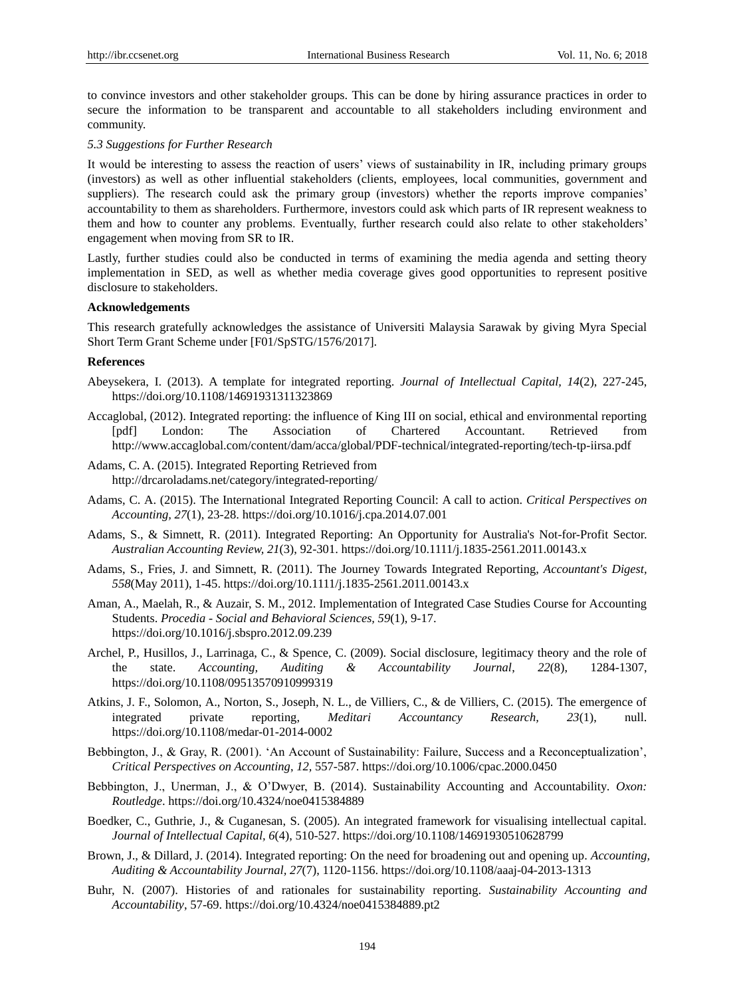to convince investors and other stakeholder groups. This can be done by hiring assurance practices in order to secure the information to be transparent and accountable to all stakeholders including environment and community.

## *5.3 Suggestions for Further Research*

It would be interesting to assess the reaction of users' views of sustainability in IR, including primary groups (investors) as well as other influential stakeholders (clients, employees, local communities, government and suppliers). The research could ask the primary group (investors) whether the reports improve companies' accountability to them as shareholders. Furthermore, investors could ask which parts of IR represent weakness to them and how to counter any problems. Eventually, further research could also relate to other stakeholders' engagement when moving from SR to IR.

Lastly, further studies could also be conducted in terms of examining the media agenda and setting theory implementation in SED, as well as whether media coverage gives good opportunities to represent positive disclosure to stakeholders.

# **Acknowledgements**

This research gratefully acknowledges the assistance of Universiti Malaysia Sarawak by giving Myra Special Short Term Grant Scheme under [F01/SpSTG/1576/2017].

## **References**

- Abeysekera, I. (2013). A template for integrated reporting. *Journal of Intellectual Capital, 14*(2), 227-245, https://doi.org/10.1108/14691931311323869
- Accaglobal, (2012). Integrated reporting: the influence of King III on social, ethical and environmental reporting [pdf] London: The Association of Chartered Accountant. Retrieved from <http://www.accaglobal.com/content/dam/acca/global/PDF-technical/integrated-reporting/tech-tp-iirsa.pdf>
- Adams, C. A. (2015). Integrated Reporting Retrieved from http://drcaroladams.net/category/integrated-reporting/
- Adams, C. A. (2015). The International Integrated Reporting Council: A call to action. *Critical Perspectives on Accounting, 27*(1), 23-28. https://doi.org/10.1016/j.cpa.2014.07.001
- Adams, S., & Simnett, R. (2011). Integrated Reporting: An Opportunity for Australia's Not-for-Profit Sector. *Australian Accounting Review, 21*(3), 92-301. https://doi.org/10.1111/j.1835-2561.2011.00143.x
- Adams, S., Fries, J. and Simnett, R. (2011). The Journey Towards Integrated Reporting, *Accountant's Digest, 558*(May 2011), 1-45. https://doi.org/10.1111/j.1835-2561.2011.00143.x
- Aman, A., Maelah, R., & Auzair, S. M., 2012. Implementation of Integrated Case Studies Course for Accounting Students. *Procedia - Social and Behavioral Sciences, 59*(1), 9-17. https://doi.org/10.1016/j.sbspro.2012.09.239
- Archel, P., Husillos, J., Larrinaga, C., & Spence, C. (2009). Social disclosure, legitimacy theory and the role of the state. *Accounting, Auditing & Accountability Journal*, *22*(8), 1284-1307, https://doi.org/10.1108/09513570910999319
- Atkins, J. F., Solomon, A., Norton, S., Joseph, N. L., de Villiers, C., & de Villiers, C. (2015). The emergence of integrated private reporting, *Meditari Accountancy Research, 23*(1), null. https://doi.org/10.1108/medar-01-2014-0002
- Bebbington, J., & Gray, R. (2001). 'An Account of Sustainability: Failure, Success and a Reconceptualization', *Critical Perspectives on Accounting*, *12,* 557-587. https://doi.org/10.1006/cpac.2000.0450
- Bebbington, J., Unerman, J., & O'Dwyer, B. (2014). Sustainability Accounting and Accountability*. Oxon: Routledge*. https://doi.org/10.4324/noe0415384889
- Boedker, C., Guthrie, J., & Cuganesan, S. (2005). An integrated framework for visualising intellectual capital. *Journal of Intellectual Capital, 6*(4), 510-527. https://doi.org/10.1108/14691930510628799
- Brown, J., & Dillard, J. (2014). Integrated reporting: On the need for broadening out and opening up. *Accounting, Auditing & Accountability Journal, 27*(7), 1120-1156. https://doi.org/10.1108/aaaj-04-2013-1313
- Buhr, N. (2007). Histories of and rationales for sustainability reporting. *Sustainability Accounting and Accountability*, 57-69. https://doi.org/10.4324/noe0415384889.pt2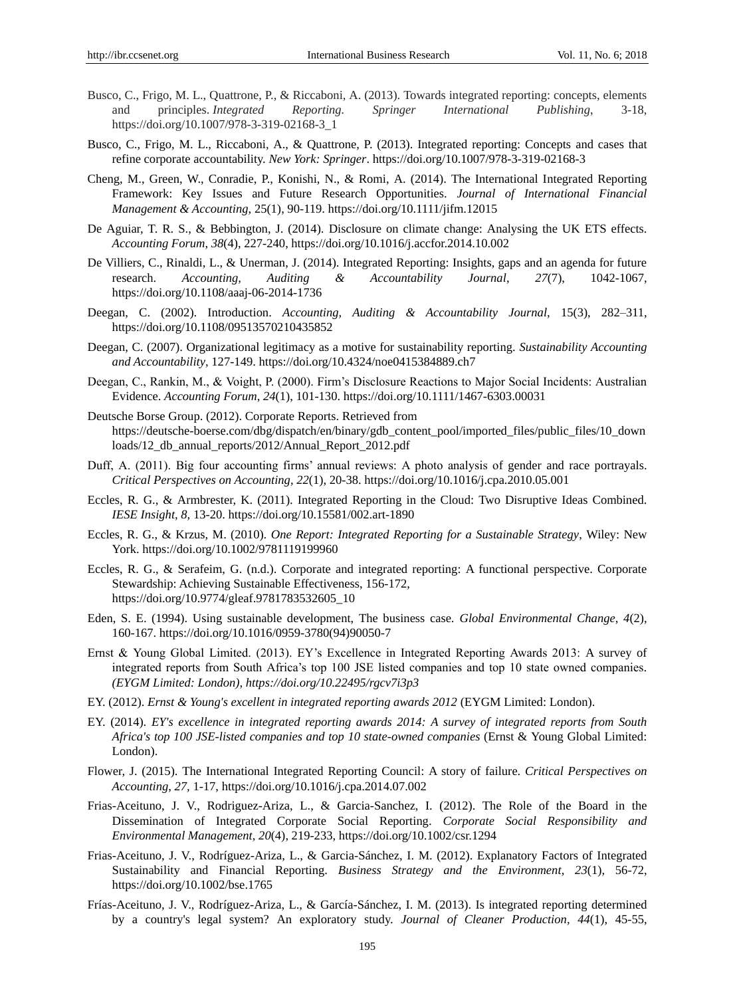- Busco, C., Frigo, M. L., Quattrone, P., & Riccaboni, A. (2013). Towards integrated reporting: concepts, elements and principles. *Integrated Reporting. Springer International Publishing*, 3-18, https://doi.org/10.1007/978-3-319-02168-3\_1
- Busco, C., Frigo, M. L., Riccaboni, A., & Quattrone, P. (2013). Integrated reporting: Concepts and cases that refine corporate accountability. *New York: Springer*.<https://doi.org/10.1007/978-3-319-02168-3>
- Cheng, M., Green, W., Conradie, P., Konishi, N., & Romi, A. (2014). The International Integrated Reporting Framework: Key Issues and Future Research Opportunities. *Journal of International Financial Management & Accounting*, 25(1), 90-119. https://doi.org/10.1111/jifm.12015
- De Aguiar, T. R. S., & Bebbington, J. (2014). Disclosure on climate change: Analysing the UK ETS effects. *Accounting Forum*, *38*(4), 227-240, https://doi.org/10.1016/j.accfor.2014.10.002
- De Villiers, C., Rinaldi, L., & Unerman, J. (2014). Integrated Reporting: Insights, gaps and an agenda for future research. *Accounting, Auditing & Accountability Journal*, *27*(7), 1042-1067, <https://doi.org/10.1108/aaaj-06-2014-1736>
- Deegan, C. (2002). Introduction. *Accounting, Auditing & Accountability Journal,* 15(3), 282–311, <https://doi.org/10.1108/09513570210435852>
- Deegan, C. (2007). Organizational legitimacy as a motive for sustainability reporting. *Sustainability Accounting and Accountability*, 127-149. https://doi.org/10.4324/noe0415384889.ch7
- Deegan, C., Rankin, M., & Voight, P. (2000). Firm's Disclosure Reactions to Major Social Incidents: Australian Evidence. *Accounting Forum*, *24*(1), 101-130.<https://doi.org/10.1111/1467-6303.00031>
- Deutsche Borse Group. (2012). Corporate Reports. Retrieved from [https://deutsche-boerse.com/dbg/dispatch/en/binary/gdb\\_content\\_pool/imported\\_files/public\\_files/10\\_down](https://deutsche-boerse.com/dbg/dispatch/en/binary/gdb_content_pool/imported_files/public_files/10_downloads/12_db_annual_reports/2012/Annual_Report_2012.pdf) [loads/12\\_db\\_annual\\_reports/2012/Annual\\_Report\\_2012.pdf](https://deutsche-boerse.com/dbg/dispatch/en/binary/gdb_content_pool/imported_files/public_files/10_downloads/12_db_annual_reports/2012/Annual_Report_2012.pdf)
- Duff, A. (2011). Big four accounting firms' annual reviews: A photo analysis of gender and race portrayals. *Critical Perspectives on Accounting*, *22*(1), 20-38.<https://doi.org/10.1016/j.cpa.2010.05.001>
- Eccles, R. G., & Armbrester, K. (2011). Integrated Reporting in the Cloud: Two Disruptive Ideas Combined. *IESE Insight, 8,* 13-20.<https://doi.org/10.15581/002.art-1890>
- Eccles, R. G., & Krzus, M. (2010). *One Report: Integrated Reporting for a Sustainable Strategy*, Wiley: New York. https://doi.org/10.1002/9781119199960
- Eccles, R. G., & Serafeim, G. (n.d.). Corporate and integrated reporting: A functional perspective. Corporate Stewardship: Achieving Sustainable Effectiveness, 156-172, https://doi.org/10.9774/gleaf.9781783532605\_10
- Eden, S. E. (1994). Using sustainable development, The business case. *Global Environmental Change*, *4*(2), 160-167. https://doi.org/10.1016/0959-3780(94)90050-7
- Ernst & Young Global Limited. (2013). EY's Excellence in Integrated Reporting Awards 2013: A survey of integrated reports from South Africa's top 100 JSE listed companies and top 10 state owned companies*. (EYGM Limited: London), https://doi.org/10.22495/rgcv7i3p3*
- EY. (2012). *Ernst & Young's excellent in integrated reporting awards 2012* (EYGM Limited: London).
- EY. (2014). *EY's excellence in integrated reporting awards 2014: A survey of integrated reports from South Africa's top 100 JSE-listed companies and top 10 state-owned companies* (Ernst & Young Global Limited: London).
- Flower, J. (2015). The International Integrated Reporting Council: A story of failure. *Critical Perspectives on Accounting*, *27,* 1-17, https://doi.org/10.1016/j.cpa.2014.07.002
- Frias-Aceituno, J. V., Rodriguez-Ariza, L., & Garcia-Sanchez, I. (2012). The Role of the Board in the Dissemination of Integrated Corporate Social Reporting. *Corporate Social Responsibility and Environmental Management*, *20*(4), 219-233, https://doi.org/10.1002/csr.1294
- Frias-Aceituno, J. V., Rodr éuez-Ariza, L., & Garcia-Sánchez, I. M. (2012). Explanatory Factors of Integrated Sustainability and Financial Reporting. *Business Strategy and the Environment*, *23*(1), 56-72, https://doi.org/10.1002/bse.1765
- Fr ás-Aceituno, J. V., Rodr guez-Ariza, L., & Garc á-Sánchez, I. M. (2013). Is integrated reporting determined by a country's legal system? An exploratory study. *Journal of Cleaner Production, 44*(1), 45-55,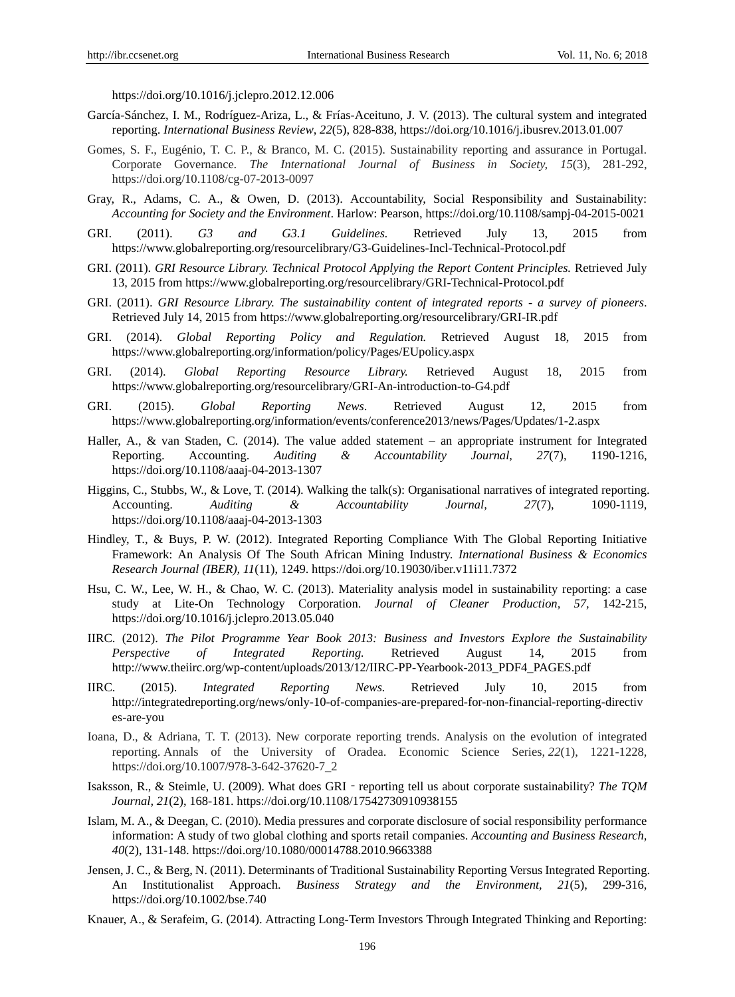https://doi.org/10.1016/j.jclepro.2012.12.006

- Garc á-Sánchez, I. M., Rodr guez-Ariza, L., & Fr ás-Aceituno, J. V. (2013). The cultural system and integrated reporting. *International Business Review*, *22*(5), 828-838, https://doi.org/10.1016/j.ibusrev.2013.01.007
- Gomes, S. F., Eugénio, T. C. P., & Branco, M. C. (2015). Sustainability reporting and assurance in Portugal. Corporate Governance. *The International Journal of Business in Society, 15*(3), 281-292, https://doi.org/10.1108/cg-07-2013-0097
- Gray, R., Adams, C. A., & Owen, D. (2013). Accountability, Social Responsibility and Sustainability: *Accounting for Society and the Environment*. Harlow: Pearson, https://doi.org/10.1108/sampj-04-2015-0021
- GRI. (2011). *G3 and G3.1 Guidelines.* Retrieved July 13, 2015 from https://www.globalreporting.org/resourcelibrary/G3-Guidelines-Incl-Technical-Protocol.pdf
- GRI. (2011). *GRI Resource Library. Technical Protocol Applying the Report Content Principles.* Retrieved July 13, 2015 from https://www.globalreporting.org/resourcelibrary/GRI-Technical-Protocol.pdf
- GRI. (2011). *GRI Resource Library. The sustainability content of integrated reports - a survey of pioneers*. Retrieved July 14, 2015 from https://www.globalreporting.org/resourcelibrary/GRI-IR.pdf
- GRI. (2014). *Global Reporting Policy and Regulation.* Retrieved August 18, 2015 from https://www.globalreporting.org/information/policy/Pages/EUpolicy.aspx
- GRI. (2014). *Global Reporting Resource Library.* Retrieved August 18, 2015 from https://www.globalreporting.org/resourcelibrary/GRI-An-introduction-to-G4.pdf
- GRI. (2015). *Global Reporting News*. Retrieved August 12, 2015 from https://www.globalreporting.org/information/events/conference2013/news/Pages/Updates/1-2.aspx
- Haller, A., & van Staden, C. (2014). The value added statement an appropriate instrument for Integrated Reporting. Accounting. *Auditing & Accountability Journal, 27*(7), 1190-1216, https://doi.org/10.1108/aaaj-04-2013-1307
- Higgins, C., Stubbs, W., & Love, T. (2014). Walking the talk(s): Organisational narratives of integrated reporting. Accounting. *Auditing & Accountability Journal, 27*(7), 1090-1119, https://doi.org/10.1108/aaaj-04-2013-1303
- Hindley, T., & Buys, P. W. (2012). Integrated Reporting Compliance With The Global Reporting Initiative Framework: An Analysis Of The South African Mining Industry. *International Business & Economics Research Journal (IBER), 11*(11), 1249. https://doi.org/10.19030/iber.v11i11.7372
- Hsu, C. W., Lee, W. H., & Chao, W. C. (2013). Materiality analysis model in sustainability reporting: a case study at Lite-On Technology Corporation. *Journal of Cleaner Production, 57,* 142-215, https://doi.org/10.1016/j.jclepro.2013.05.040
- IIRC. (2012). *The Pilot Programme Year Book 2013: Business and Investors Explore the Sustainability Perspective of Integrated Reporting.* Retrieved August 14, 2015 from http://www.theiirc.org/wp-content/uploads/2013/12/IIRC-PP-Yearbook-2013\_PDF4\_PAGES.pdf
- IIRC. (2015). *Integrated Reporting News.* Retrieved July 10, 2015 from http://integratedreporting.org/news/only-10-of-companies-are-prepared-for-non-financial-reporting-directiv es-are-you
- Ioana, D., & Adriana, T. T. (2013). New corporate reporting trends. Analysis on the evolution of integrated reporting. Annals of the University of Oradea. Economic Science Series, *22*(1), 1221-1228, https://doi.org/10.1007/978-3-642-37620-7\_2
- Isaksson, R., & Steimle, U. (2009). What does GRI‐reporting tell us about corporate sustainability? *The TQM Journal, 21*(2), 168-181. https://doi.org/10.1108/17542730910938155
- Islam, M. A., & Deegan, C. (2010). Media pressures and corporate disclosure of social responsibility performance information: A study of two global clothing and sports retail companies. *Accounting and Business Research, 40*(2), 131-148. https://doi.org/10.1080/00014788.2010.9663388
- Jensen, J. C., & Berg, N. (2011). Determinants of Traditional Sustainability Reporting Versus Integrated Reporting. An Institutionalist Approach. *Business Strategy and the Environment, 21*(5), 299-316, https://doi.org/10.1002/bse.740
- Knauer, A., & Serafeim, G. (2014). Attracting Long-Term Investors Through Integrated Thinking and Reporting: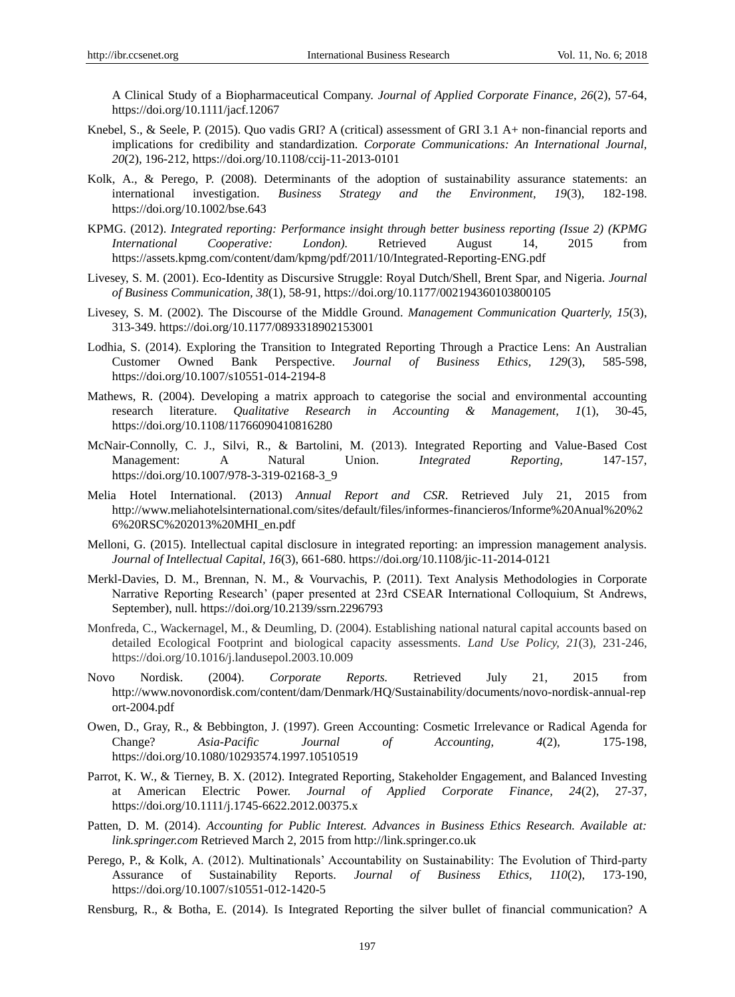A Clinical Study of a Biopharmaceutical Company. *Journal of Applied Corporate Finance, 26*(2), 57-64, https://doi.org/10.1111/jacf.12067

- Knebel, S., & Seele, P. (2015). Quo vadis GRI? A (critical) assessment of GRI 3.1 A+ non-financial reports and implications for credibility and standardization. *Corporate Communications: An International Journal, 20*(2), 196-212, https://doi.org/10.1108/ccij-11-2013-0101
- Kolk, A., & Perego, P. (2008). Determinants of the adoption of sustainability assurance statements: an international investigation. *Business Strategy and the Environment, 19*(3), 182-198. https://doi.org/10.1002/bse.643
- KPMG. (2012). *Integrated reporting: Performance insight through better business reporting (Issue 2) (KPMG International Cooperative: London).* Retrieved August 14, 2015 from https://assets.kpmg.com/content/dam/kpmg/pdf/2011/10/Integrated-Reporting-ENG.pdf
- Livesey, S. M. (2001). Eco-Identity as Discursive Struggle: Royal Dutch/Shell, Brent Spar, and Nigeria. *Journal of Business Communication, 38*(1), 58-91, https://doi.org/10.1177/002194360103800105
- Livesey, S. M. (2002). The Discourse of the Middle Ground. *Management Communication Quarterly, 15*(3), 313-349. https://doi.org/10.1177/0893318902153001
- Lodhia, S. (2014). Exploring the Transition to Integrated Reporting Through a Practice Lens: An Australian Customer Owned Bank Perspective. *Journal of Business Ethics, 129*(3), 585-598, https://doi.org/10.1007/s10551-014-2194-8
- Mathews, R. (2004). Developing a matrix approach to categorise the social and environmental accounting research literature. *Qualitative Research in Accounting & Management, 1*(1), 30-45, https://doi.org/10.1108/11766090410816280
- McNair-Connolly, C. J., Silvi, R., & Bartolini, M. (2013). Integrated Reporting and Value-Based Cost Management: A Natural Union. *Integrated Reporting,* 147-157, https://doi.org/10.1007/978-3-319-02168-3\_9
- Melia Hotel International. (2013) *Annual Report and CSR*. Retrieved July 21, 2015 from http://www.meliahotelsinternational.com/sites/default/files/informes-financieros/Informe%20Anual%20%2 6%20RSC%202013%20MHI\_en.pdf
- Melloni, G. (2015). Intellectual capital disclosure in integrated reporting: an impression management analysis. *Journal of Intellectual Capital, 16*(3), 661-680. https://doi.org/10.1108/jic-11-2014-0121
- Merkl-Davies, D. M., Brennan, N. M., & Vourvachis, P. (2011). Text Analysis Methodologies in Corporate Narrative Reporting Research' (paper presented at 23rd CSEAR International Colloquium, St Andrews, September), null. https://doi.org/10.2139/ssrn.2296793
- Monfreda, C., Wackernagel, M., & Deumling, D. (2004). Establishing national natural capital accounts based on detailed Ecological Footprint and biological capacity assessments. *Land Use Policy, 21*(3), 231-246, https://doi.org/10.1016/j.landusepol.2003.10.009
- Novo Nordisk. (2004). *Corporate Reports.* Retrieved July 21, 2015 from http://www.novonordisk.com/content/dam/Denmark/HQ/Sustainability/documents/novo-nordisk-annual-rep ort-2004.pdf
- Owen, D., Gray, R., & Bebbington, J. (1997). Green Accounting: Cosmetic Irrelevance or Radical Agenda for Change? *Asia-Pacific Journal of Accounting, 4*(2), 175-198, https://doi.org/10.1080/10293574.1997.10510519
- Parrot, K. W., & Tierney, B. X. (2012). Integrated Reporting, Stakeholder Engagement, and Balanced Investing at American Electric Power. *Journal of Applied Corporate Finance, 24*(2), 27-37, https://doi.org/10.1111/j.1745-6622.2012.00375.x
- Patten, D. M. (2014). *Accounting for Public Interest. Advances in Business Ethics Research. Available at: link.springer.com* Retrieved March 2, 2015 from http://link.springer.co.uk
- Perego, P., & Kolk, A. (2012). Multinationals' Accountability on Sustainability: The Evolution of Third-party Assurance of Sustainability Reports. *Journal of Business Ethics, 110*(2), 173-190, https://doi.org/10.1007/s10551-012-1420-5
- Rensburg, R., & Botha, E. (2014). Is Integrated Reporting the silver bullet of financial communication? A